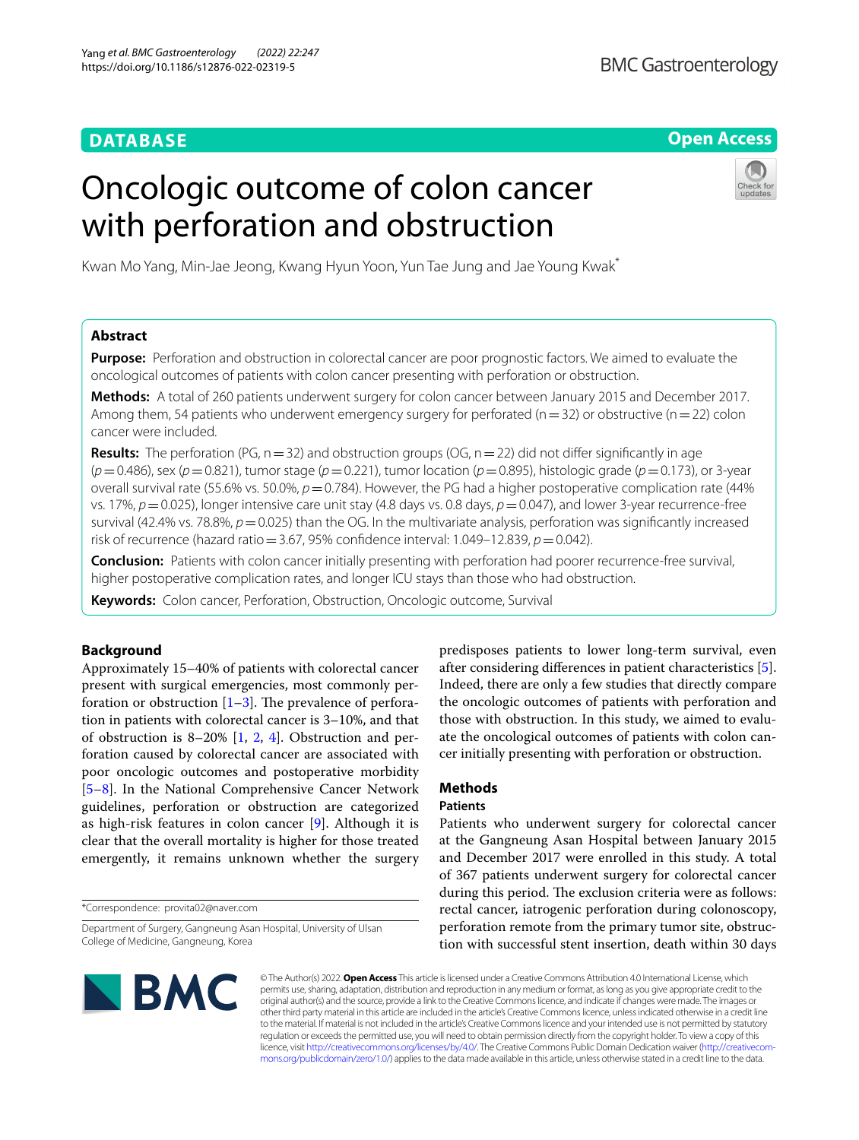# **DATABASE**

# **Open Access**

# Oncologic outcome of colon cancer with perforation and obstruction



Kwan Mo Yang, Min-Jae Jeong, Kwang Hyun Yoon, Yun Tae Jung and Jae Young Kwak\*

# **Abstract**

**Purpose:** Perforation and obstruction in colorectal cancer are poor prognostic factors. We aimed to evaluate the oncological outcomes of patients with colon cancer presenting with perforation or obstruction.

**Methods:** A total of 260 patients underwent surgery for colon cancer between January 2015 and December 2017. Among them, 54 patients who underwent emergency surgery for perforated ( $n=32$ ) or obstructive ( $n=22$ ) colon cancer were included.

**Results:** The perforation (PG,  $n=32$ ) and obstruction groups (OG,  $n=22$ ) did not differ significantly in age (*p*=0.486), sex (*p*=0.821), tumor stage (*p*=0.221), tumor location (*p*=0.895), histologic grade (*p*=0.173), or 3-year overall survival rate (55.6% vs. 50.0%,  $p = 0.784$ ). However, the PG had a higher postoperative complication rate (44% vs. 17%, *p*=0.025), longer intensive care unit stay (4.8 days vs. 0.8 days, *p*=0.047), and lower 3-year recurrence-free survival (42.4% vs. 78.8%,  $p=0.025$ ) than the OG. In the multivariate analysis, perforation was significantly increased risk of recurrence (hazard ratio = 3.67, 95% confidence interval: 1.049–12.839,  $p = 0.042$ ).

**Conclusion:** Patients with colon cancer initially presenting with perforation had poorer recurrence-free survival, higher postoperative complication rates, and longer ICU stays than those who had obstruction.

**Keywords:** Colon cancer, Perforation, Obstruction, Oncologic outcome, Survival

# **Background**

Approximately 15–40% of patients with colorectal cancer present with surgical emergencies, most commonly perforation or obstruction  $[1-3]$  $[1-3]$ . The prevalence of perforation in patients with colorectal cancer is 3–10%, and that of obstruction is 8–20% [[1,](#page-6-0) [2,](#page-6-2) [4](#page-6-3)]. Obstruction and perforation caused by colorectal cancer are associated with poor oncologic outcomes and postoperative morbidity [[5–](#page-6-4)[8\]](#page-6-5). In the National Comprehensive Cancer Network guidelines, perforation or obstruction are categorized as high-risk features in colon cancer [[9\]](#page-6-6). Although it is clear that the overall mortality is higher for those treated emergently, it remains unknown whether the surgery

\*Correspondence: provita02@naver.com

Department of Surgery, Gangneung Asan Hospital, University of Ulsan College of Medicine, Gangneung, Korea

predisposes patients to lower long-term survival, even after considering diferences in patient characteristics [\[5](#page-6-4)]. Indeed, there are only a few studies that directly compare the oncologic outcomes of patients with perforation and those with obstruction. In this study, we aimed to evaluate the oncological outcomes of patients with colon cancer initially presenting with perforation or obstruction.

# **Methods**

## **Patients**

Patients who underwent surgery for colorectal cancer at the Gangneung Asan Hospital between January 2015 and December 2017 were enrolled in this study. A total of 367 patients underwent surgery for colorectal cancer during this period. The exclusion criteria were as follows: rectal cancer, iatrogenic perforation during colonoscopy, perforation remote from the primary tumor site, obstruction with successful stent insertion, death within 30 days



© The Author(s) 2022. **Open Access** This article is licensed under a Creative Commons Attribution 4.0 International License, which permits use, sharing, adaptation, distribution and reproduction in any medium or format, as long as you give appropriate credit to the original author(s) and the source, provide a link to the Creative Commons licence, and indicate if changes were made. The images or other third party material in this article are included in the article's Creative Commons licence, unless indicated otherwise in a credit line to the material. If material is not included in the article's Creative Commons licence and your intended use is not permitted by statutory regulation or exceeds the permitted use, you will need to obtain permission directly from the copyright holder. To view a copy of this licence, visit [http://creativecommons.org/licenses/by/4.0/.](http://creativecommons.org/licenses/by/4.0/) The Creative Commons Public Domain Dedication waiver (http://creativecom[mons.org/publicdomain/zero/1.0/\)](http://creativecommons.org/publicdomain/zero/1.0/) applies to the data made available in this article, unless otherwise stated in a credit line to the data.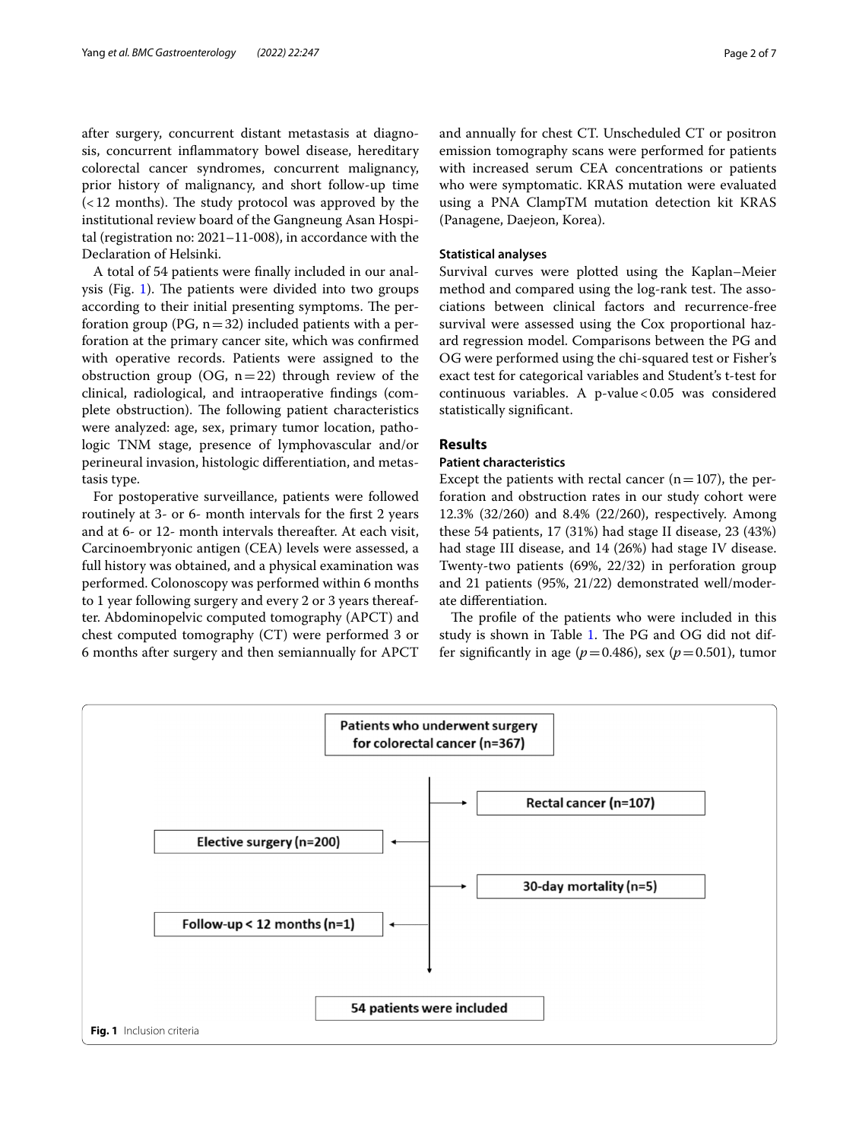after surgery, concurrent distant metastasis at diagnosis, concurrent infammatory bowel disease, hereditary colorectal cancer syndromes, concurrent malignancy, prior history of malignancy, and short follow-up time  $\left($  < 12 months). The study protocol was approved by the institutional review board of the Gangneung Asan Hospital (registration no: 2021–11-008), in accordance with the Declaration of Helsinki.

A total of 54 patients were fnally included in our analysis (Fig.  $1$ ). The patients were divided into two groups according to their initial presenting symptoms. The perforation group (PG,  $n=32$ ) included patients with a perforation at the primary cancer site, which was confrmed with operative records. Patients were assigned to the obstruction group (OG,  $n=22$ ) through review of the clinical, radiological, and intraoperative fndings (complete obstruction). The following patient characteristics were analyzed: age, sex, primary tumor location, pathologic TNM stage, presence of lymphovascular and/or perineural invasion, histologic diferentiation, and metastasis type.

For postoperative surveillance, patients were followed routinely at 3- or 6- month intervals for the frst 2 years and at 6- or 12- month intervals thereafter. At each visit, Carcinoembryonic antigen (CEA) levels were assessed, a full history was obtained, and a physical examination was performed. Colonoscopy was performed within 6 months to 1 year following surgery and every 2 or 3 years thereafter. Abdominopelvic computed tomography (APCT) and chest computed tomography (CT) were performed 3 or 6 months after surgery and then semiannually for APCT and annually for chest CT. Unscheduled CT or positron emission tomography scans were performed for patients with increased serum CEA concentrations or patients who were symptomatic. KRAS mutation were evaluated using a PNA ClampTM mutation detection kit KRAS (Panagene, Daejeon, Korea).

## <span id="page-1-1"></span>**Statistical analyses**

Survival curves were plotted using the Kaplan–Meier method and compared using the log-rank test. The associations between clinical factors and recurrence-free survival were assessed using the Cox proportional hazard regression model. Comparisons between the PG and OG were performed using the chi-squared test or Fisher's exact test for categorical variables and Student's t-test for continuous variables. A p-value < $0.05$  was considered statistically signifcant.

# **Results**

## **Patient characteristics**

Except the patients with rectal cancer ( $n=107$ ), the perforation and obstruction rates in our study cohort were 12.3% (32/260) and 8.4% (22/260), respectively. Among these 54 patients, 17 (31%) had stage II disease, 23 (43%) had stage III disease, and 14 (26%) had stage IV disease. Twenty-two patients (69%, 22/32) in perforation group and 21 patients (95%, 21/22) demonstrated well/moderate diferentiation.

The profile of the patients who were included in this study is shown in Table [1](#page-2-0). The PG and OG did not differ significantly in age ( $p=0.486$ ), sex ( $p=0.501$ ), tumor

<span id="page-1-0"></span>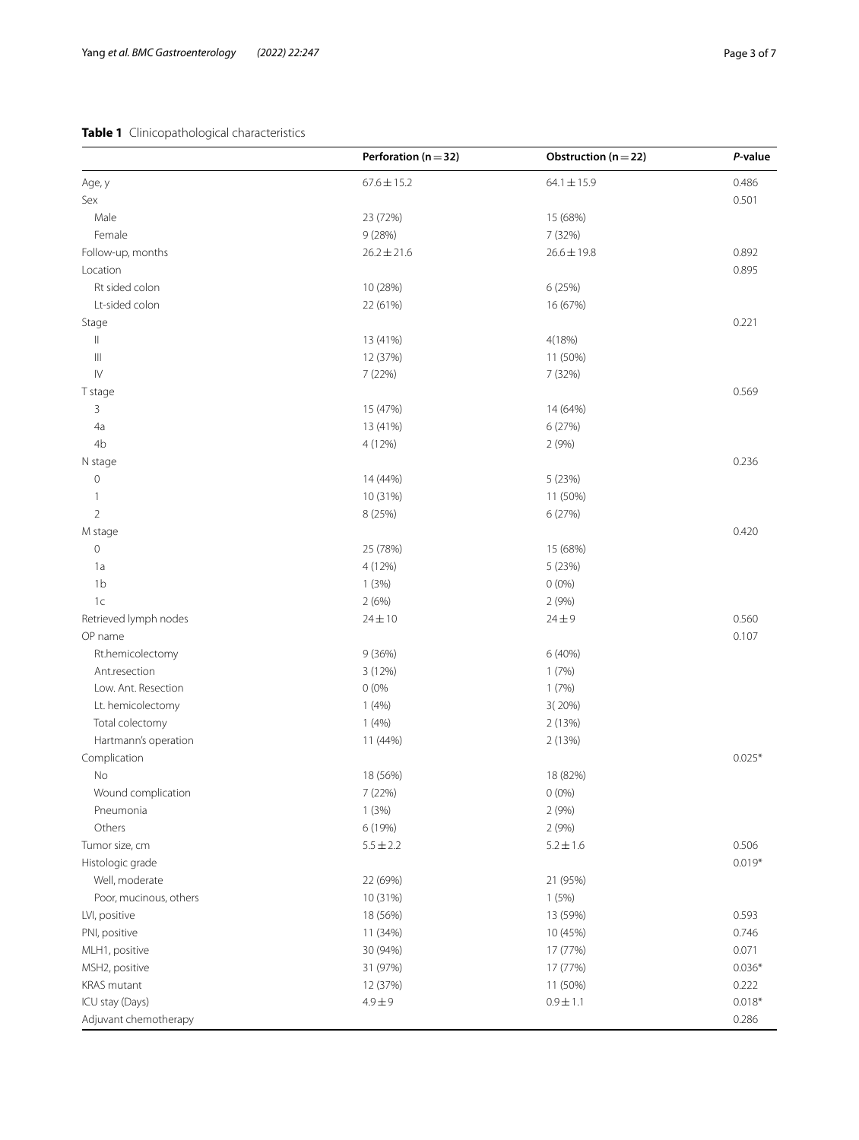# <span id="page-2-0"></span>**Table 1** Clinicopathological characteristics

|                                               | Perforation ( $n = 32$ ) | Obstruction ( $n = 22$ ) | P-value  |
|-----------------------------------------------|--------------------------|--------------------------|----------|
| Age, y                                        | $67.6 \pm 15.2$          | $64.1 \pm 15.9$          | 0.486    |
| Sex                                           |                          |                          | 0.501    |
| Male                                          | 23 (72%)                 | 15 (68%)                 |          |
| Female                                        | 9(28%)                   | 7 (32%)                  |          |
| Follow-up, months                             | $26.2 \pm 21.6$          | $26.6 \pm 19.8$          | 0.892    |
| Location                                      |                          |                          | 0.895    |
| Rt sided colon                                | 10 (28%)                 | 6 (25%)                  |          |
| Lt-sided colon                                | 22 (61%)                 | 16 (67%)                 |          |
| Stage                                         |                          |                          | 0.221    |
| $\vert\vert$                                  | 13 (41%)                 | 4(18%)                   |          |
| $\ensuremath{\left\vert \right\vert }\xspace$ | 12 (37%)                 | 11 (50%)                 |          |
| ${\sf IV}$                                    | 7 (22%)                  | 7 (32%)                  |          |
| T stage                                       |                          |                          | 0.569    |
| 3                                             | 15 (47%)                 | 14 (64%)                 |          |
| 4a                                            | 13 (41%)                 | 6 (27%)                  |          |
| 4b                                            | 4 (12%)                  | 2 (9%)                   |          |
|                                               |                          |                          | 0.236    |
| N stage                                       |                          |                          |          |
| $\mathsf{O}\xspace$                           | 14 (44%)                 | 5 (23%)                  |          |
| $\mathbf{1}$                                  | 10 (31%)                 | 11 (50%)                 |          |
| $\overline{2}$                                | 8 (25%)                  | 6(27%)                   |          |
| M stage                                       |                          |                          | 0.420    |
| $\mathsf{O}\xspace$                           | 25 (78%)                 | 15 (68%)                 |          |
| 1a                                            | 4 (12%)                  | 5 (23%)                  |          |
| 1 <sub>b</sub>                                | 1(3%)                    | $0(0\%)$                 |          |
| 1c                                            | 2(6%)                    | 2 (9%)                   |          |
| Retrieved lymph nodes                         | $24 \pm 10$              | $24 \pm 9$               | 0.560    |
| OP name                                       |                          |                          | 0.107    |
| Rt.hemicolectomy                              | 9(36%)                   | 6 (40%)                  |          |
| Ant.resection                                 | 3 (12%)                  | 1(7%)                    |          |
| Low. Ant. Resection                           | 0(0%                     | 1(7%)                    |          |
| Lt. hemicolectomy                             | 1(4%)                    | 3(20%)                   |          |
| Total colectomy                               | 1(4%)                    | 2 (13%)                  |          |
| Hartmann's operation                          | 11 (44%)                 | 2(13%)                   |          |
| Complication                                  |                          |                          | $0.025*$ |
| No                                            | 18 (56%)                 | 18 (82%)                 |          |
| Wound complication                            | 7 (22%)                  | $0(0\%)$                 |          |
| Pneumonia                                     | 1(3%)                    | 2(9%)                    |          |
| Others                                        | 6 (19%)                  | 2(9%)                    |          |
| Tumor size, cm                                | $5.5 \pm 2.2$            | $5.2 \pm 1.6$            | 0.506    |
| Histologic grade                              |                          |                          | $0.019*$ |
| Well, moderate                                | 22 (69%)                 | 21 (95%)                 |          |
| Poor, mucinous, others                        | 10 (31%)                 | 1(5%)                    |          |
| LVI, positive                                 | 18 (56%)                 | 13 (59%)                 | 0.593    |
| PNI, positive                                 | 11 (34%)                 | 10 (45%)                 | 0.746    |
| MLH1, positive                                | 30 (94%)                 | 17 (77%)                 | 0.071    |
| MSH2, positive                                | 31 (97%)                 | 17 (77%)                 | $0.036*$ |
| KRAS mutant                                   | 12 (37%)                 | 11 (50%)                 | 0.222    |
| ICU stay (Days)                               | $4.9 + 9$                | $0.9 \pm 1.1$            | $0.018*$ |
| Adjuvant chemotherapy                         |                          |                          | 0.286    |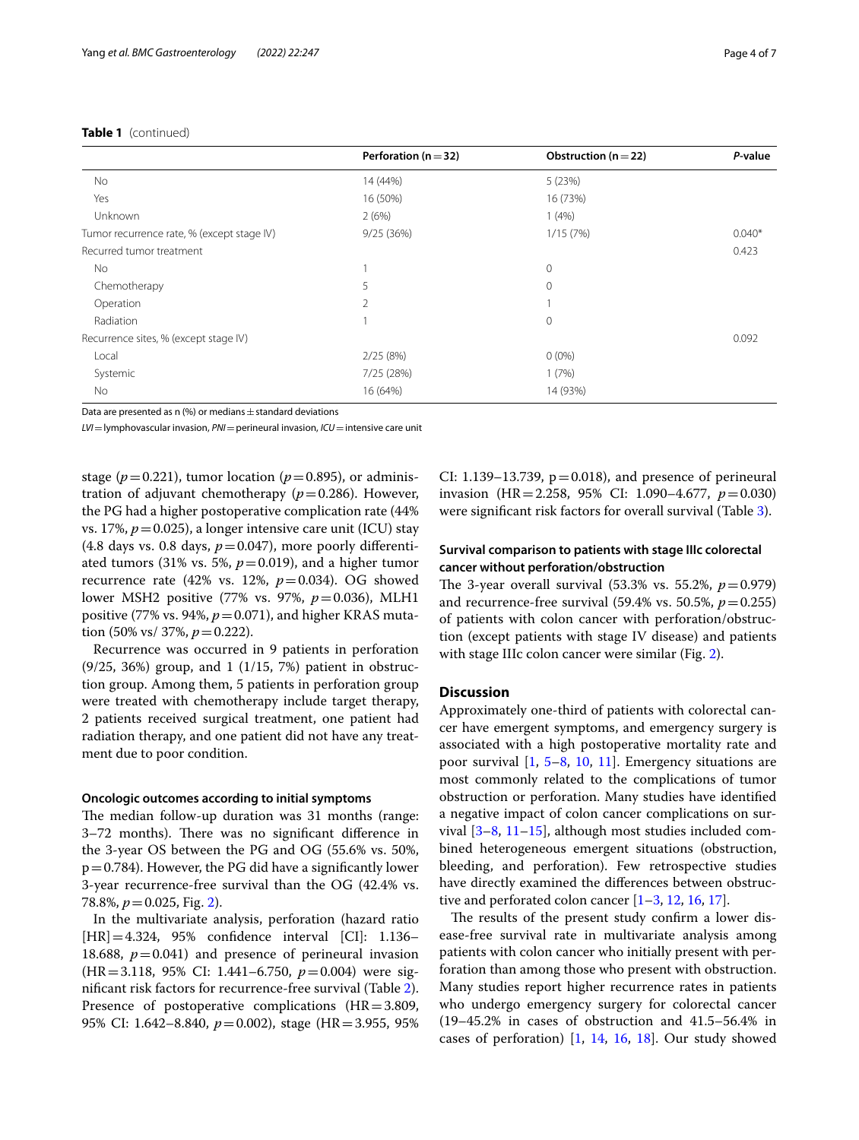## **Table 1** (continued)

|                                            | Perforation ( $n = 32$ ) | Obstruction ( $n = 22$ ) | P-value  |
|--------------------------------------------|--------------------------|--------------------------|----------|
| <b>No</b>                                  | 14 (44%)                 | 5(23%)                   |          |
| Yes                                        | 16 (50%)                 | 16 (73%)                 |          |
| Unknown                                    | 2(6%)                    | 1(4%)                    |          |
| Tumor recurrence rate, % (except stage IV) | 9/25(36%)                | 1/15(7%)                 | $0.040*$ |
| Recurred tumor treatment                   |                          |                          | 0.423    |
| No.                                        |                          | $\mathbf 0$              |          |
| Chemotherapy                               | 5                        | $\mathbf 0$              |          |
| Operation                                  | 2                        |                          |          |
| Radiation                                  |                          | $\mathbf 0$              |          |
| Recurrence sites, % (except stage IV)      |                          |                          | 0.092    |
| Local                                      | 2/25(8%)                 | $0(0\%)$                 |          |
| Systemic                                   | 7/25 (28%)               | 1(7%)                    |          |
| <b>No</b>                                  | 16 (64%)                 | 14 (93%)                 |          |
|                                            |                          |                          |          |

Data are presented as n (%) or medians  $\pm$  standard deviations

*LVI*=lymphovascular invasion, *PNI*=perineural invasion, *ICU*=intensive care unit

stage ( $p=0.221$ ), tumor location ( $p=0.895$ ), or administration of adjuvant chemotherapy  $(p=0.286)$ . However, the PG had a higher postoperative complication rate (44% vs. 17%,  $p = 0.025$ ), a longer intensive care unit (ICU) stay  $(4.8 \text{ days vs. } 0.8 \text{ days}, p=0.047)$ , more poorly differentiated tumors (31% vs. 5%,  $p=0.019$ ), and a higher tumor recurrence rate (42% vs. 12%,  $p=0.034$ ). OG showed lower MSH2 positive (77% vs. 97%, *p*=0.036), MLH1 positive (77% vs. 94%,  $p=0.071$ ), and higher KRAS mutation (50% vs/ 37%,  $p = 0.222$ ).

Recurrence was occurred in 9 patients in perforation (9/25, 36%) group, and 1 (1/15, 7%) patient in obstruction group. Among them, 5 patients in perforation group were treated with chemotherapy include target therapy, 2 patients received surgical treatment, one patient had radiation therapy, and one patient did not have any treatment due to poor condition.

#### **Oncologic outcomes according to initial symptoms**

The median follow-up duration was 31 months (range: 3-72 months). There was no significant difference in the 3-year OS between the PG and OG (55.6% vs. 50%,  $p=0.784$ ). However, the PG did have a significantly lower 3-year recurrence-free survival than the OG (42.4% vs. 78.8%,  $p = 0.025$ , Fig. [2\)](#page-4-0).

In the multivariate analysis, perforation (hazard ratio [HR]=4.324, 95% confdence interval [CI]: 1.136– 18.688,  $p = 0.041$ ) and presence of perineural invasion (HR=3.118, 95% CI: 1.441–6.750, *p*=0.004) were signifcant risk factors for recurrence-free survival (Table [2](#page-5-0)). Presence of postoperative complications  $(HR=3.809,$ 95% CI: 1.642–8.840, *p*=0.002), stage (HR=3.955, 95% CI: 1.139–13.739,  $p = 0.018$ ), and presence of perineural invasion (HR=2.258, 95% CI: 1.090–4.677, *p*=0.030) were signifcant risk factors for overall survival (Table [3\)](#page-5-1).

## **Survival comparison to patients with stage IIIc colorectal cancer without perforation/obstruction**

The 3-year overall survival  $(53.3\% \text{ vs. } 55.2\%, p=0.979)$ and recurrence-free survival  $(59.4\% \text{ vs. } 50.5\%, p=0.255)$ of patients with colon cancer with perforation/obstruction (except patients with stage IV disease) and patients with stage IIIc colon cancer were similar (Fig. [2\)](#page-4-0).

## **Discussion**

Approximately one-third of patients with colorectal cancer have emergent symptoms, and emergency surgery is associated with a high postoperative mortality rate and poor survival [[1,](#page-6-0) [5](#page-6-4)[–8](#page-6-5), [10,](#page-6-7) [11\]](#page-6-8). Emergency situations are most commonly related to the complications of tumor obstruction or perforation. Many studies have identifed a negative impact of colon cancer complications on survival [[3–](#page-6-1)[8,](#page-6-5) [11–](#page-6-8)[15](#page-6-9)], although most studies included combined heterogeneous emergent situations (obstruction, bleeding, and perforation). Few retrospective studies have directly examined the diferences between obstructive and perforated colon cancer [\[1–](#page-6-0)[3,](#page-6-1) [12](#page-6-10), [16,](#page-6-11) [17\]](#page-6-12).

The results of the present study confirm a lower disease-free survival rate in multivariate analysis among patients with colon cancer who initially present with perforation than among those who present with obstruction. Many studies report higher recurrence rates in patients who undergo emergency surgery for colorectal cancer (19–45.2% in cases of obstruction and 41.5–56.4% in cases of perforation) [[1](#page-6-0), [14](#page-6-13), [16](#page-6-11), [18](#page-6-14)]. Our study showed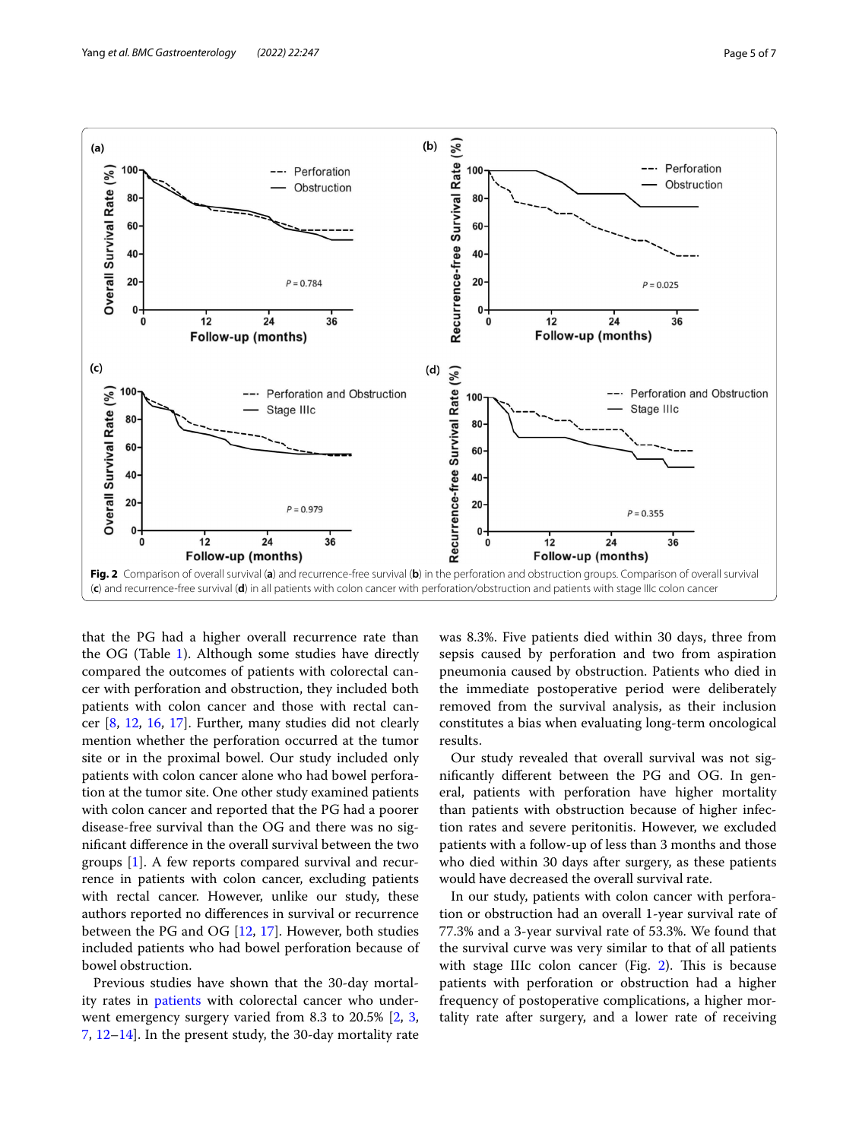

<span id="page-4-0"></span>that the PG had a higher overall recurrence rate than the OG (Table [1](#page-2-0)). Although some studies have directly compared the outcomes of patients with colorectal cancer with perforation and obstruction, they included both patients with colon cancer and those with rectal cancer [[8,](#page-6-5) [12](#page-6-10), [16,](#page-6-11) [17](#page-6-12)]. Further, many studies did not clearly mention whether the perforation occurred at the tumor site or in the proximal bowel. Our study included only patients with colon cancer alone who had bowel perforation at the tumor site. One other study examined patients with colon cancer and reported that the PG had a poorer disease-free survival than the OG and there was no signifcant diference in the overall survival between the two groups [\[1](#page-6-0)]. A few reports compared survival and recurrence in patients with colon cancer, excluding patients with rectal cancer. However, unlike our study, these authors reported no diferences in survival or recurrence between the PG and OG [\[12](#page-6-10), [17](#page-6-12)]. However, both studies included patients who had bowel perforation because of bowel obstruction.

Previous studies have shown that the 30-day mortality rates in [patients](#page-1-1) with colorectal cancer who underwent emergency surgery varied from 8.3 to 20.5% [[2,](#page-6-2) [3](#page-6-1), [7,](#page-6-15) [12](#page-6-10)[–14](#page-6-13)]. In the present study, the 30-day mortality rate was 8.3%. Five patients died within 30 days, three from sepsis caused by perforation and two from aspiration pneumonia caused by obstruction. Patients who died in the immediate postoperative period were deliberately removed from the survival analysis, as their inclusion constitutes a bias when evaluating long-term oncological results.

Our study revealed that overall survival was not signifcantly diferent between the PG and OG. In general, patients with perforation have higher mortality than patients with obstruction because of higher infection rates and severe peritonitis. However, we excluded patients with a follow-up of less than 3 months and those who died within 30 days after surgery, as these patients would have decreased the overall survival rate.

In our study, patients with colon cancer with perforation or obstruction had an overall 1-year survival rate of 77.3% and a 3-year survival rate of 53.3%. We found that the survival curve was very similar to that of all patients with stage IIIc colon cancer (Fig.  $2$ ). This is because patients with perforation or obstruction had a higher frequency of postoperative complications, a higher mortality rate after surgery, and a lower rate of receiving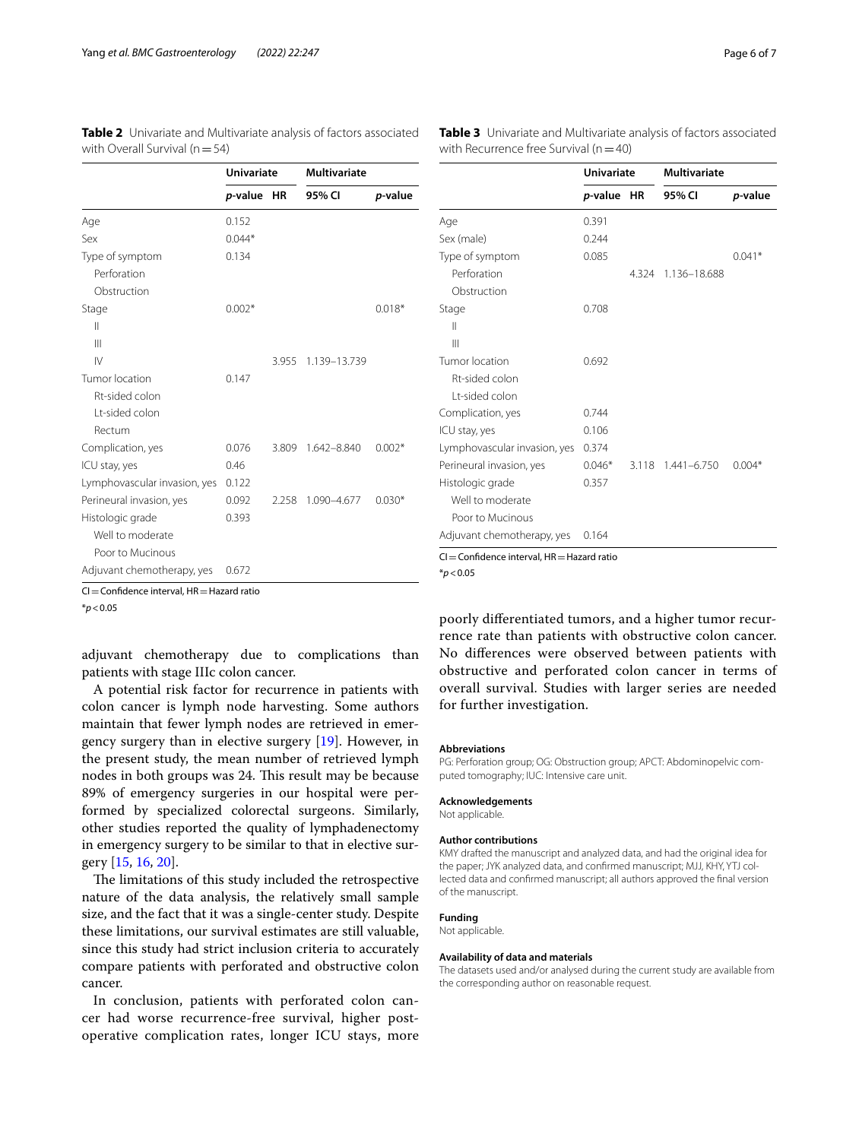<span id="page-5-0"></span>

| <b>Table 2</b> Univariate and Multivariate analysis of factors associated |  |  |
|---------------------------------------------------------------------------|--|--|
| with Overall Survival ( $n = 54$ )                                        |  |  |

<span id="page-5-1"></span>**Table 3** Univariate and Multivariate analysis of factors associated with Recurrence free Survival  $(n=40)$ 

|                              | Univariate |       | <b>Multivariate</b> |          |  |
|------------------------------|------------|-------|---------------------|----------|--|
|                              | p-value HR |       | 95% CI              | p-value  |  |
| Age                          | 0.152      |       |                     |          |  |
| Sex                          | $0.044*$   |       |                     |          |  |
| Type of symptom              | 0.134      |       |                     |          |  |
| Perforation                  |            |       |                     |          |  |
| Obstruction                  |            |       |                     |          |  |
| Stage                        | $0.002*$   |       |                     | $0.018*$ |  |
| $\mathsf{II}$                |            |       |                     |          |  |
| $\mathbf{III}$               |            |       |                     |          |  |
| $\mathsf{N}$                 |            | 3.955 | 1.139-13.739        |          |  |
| Tumor location               | 0.147      |       |                     |          |  |
| Rt-sided colon               |            |       |                     |          |  |
| Lt-sided colon               |            |       |                     |          |  |
| Rectum                       |            |       |                     |          |  |
| Complication, yes            | 0.076      | 3.809 | 1.642-8.840         | $0.002*$ |  |
| ICU stay, yes                | 0.46       |       |                     |          |  |
| Lymphovascular invasion, yes | 0.122      |       |                     |          |  |
| Perineural invasion, yes     | 0.092      | 2.258 | 1.090-4.677         | $0.030*$ |  |
| Histologic grade             | 0.393      |       |                     |          |  |
| Well to moderate             |            |       |                     |          |  |
| Poor to Mucinous             |            |       |                     |          |  |
| Adjuvant chemotherapy, yes   | 0.672      |       |                     |          |  |

CI=Confdence interval, HR=Hazard ratio

\**p*<0.05

adjuvant chemotherapy due to complications than patients with stage IIIc colon cancer.

A potential risk factor for recurrence in patients with colon cancer is lymph node harvesting. Some authors maintain that fewer lymph nodes are retrieved in emergency surgery than in elective surgery [\[19\]](#page-6-16). However, in the present study, the mean number of retrieved lymph nodes in both groups was 24. This result may be because 89% of emergency surgeries in our hospital were performed by specialized colorectal surgeons. Similarly, other studies reported the quality of lymphadenectomy in emergency surgery to be similar to that in elective surgery [[15,](#page-6-9) [16](#page-6-11), [20](#page-6-17)].

The limitations of this study included the retrospective nature of the data analysis, the relatively small sample size, and the fact that it was a single-center study. Despite these limitations, our survival estimates are still valuable, since this study had strict inclusion criteria to accurately compare patients with perforated and obstructive colon cancer.

In conclusion, patients with perforated colon cancer had worse recurrence-free survival, higher postoperative complication rates, longer ICU stays, more

|                                                 | <b>Univariate</b> |       | <b>Multivariate</b> |          |
|-------------------------------------------------|-------------------|-------|---------------------|----------|
|                                                 | p-value           | ΗR    | 95% CI              | p-value  |
| Age                                             | 0.391             |       |                     |          |
| Sex (male)                                      | 0.244             |       |                     |          |
| Type of symptom                                 | 0.085             |       |                     | $0.041*$ |
| Perforation                                     |                   | 4.324 | 1.136-18.688        |          |
| Obstruction                                     |                   |       |                     |          |
| Stage                                           | 0.708             |       |                     |          |
| Ш                                               |                   |       |                     |          |
| $\mathbf{III}$                                  |                   |       |                     |          |
| Tumor location                                  | 0.692             |       |                     |          |
| Rt-sided colon                                  |                   |       |                     |          |
| I t-sided colon                                 |                   |       |                     |          |
| Complication, yes                               | 0.744             |       |                     |          |
| ICU stay, yes                                   | 0.106             |       |                     |          |
| Lymphovascular invasion, yes                    | 0.374             |       |                     |          |
| Perineural invasion, yes                        | $0.046*$          | 3.118 | $1.441 - 6.750$     | $0.004*$ |
| Histologic grade                                | 0.357             |       |                     |          |
| Well to moderate                                |                   |       |                     |          |
| Poor to Mucinous                                |                   |       |                     |          |
| Adjuvant chemotherapy, yes                      | 0.164             |       |                     |          |
| $CI =$ Confidence interval, $HR =$ Hazard ratio |                   |       |                     |          |

\**p*<0.05

poorly diferentiated tumors, and a higher tumor recurrence rate than patients with obstructive colon cancer. No diferences were observed between patients with obstructive and perforated colon cancer in terms of overall survival. Studies with larger series are needed for further investigation.

#### **Abbreviations**

PG: Perforation group; OG: Obstruction group; APCT: Abdominopelvic computed tomography; IUC: Intensive care unit.

#### **Acknowledgements**

Not applicable.

#### **Author contributions**

KMY drafted the manuscript and analyzed data, and had the original idea for the paper; JYK analyzed data, and confirmed manuscript; MJJ, KHY, YTJ collected data and confrmed manuscript; all authors approved the fnal version of the manuscript.

## **Funding**

Not applicable.

## **Availability of data and materials**

The datasets used and/or analysed during the current study are available from the corresponding author on reasonable request.